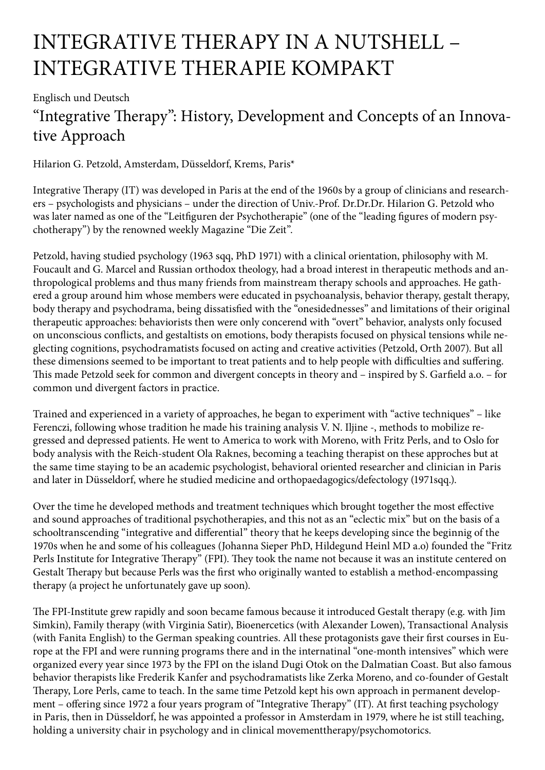## INTEGRATIVE THERAPY IN A NUTSHELL – INTEGRATIVE THERAPIE KOMPAKT

Englisch und Deutsch

## "Integrative Therapy": History, Development and Concepts of an Innovative Approach

Hilarion G. Petzold, Amsterdam, Düsseldorf, Krems, Paris\*

Integrative Therapy (IT) was developed in Paris at the end of the 1960s by a group of clinicians and researchers – psychologists and physicians – under the direction of Univ.-Prof. Dr.Dr.Dr. Hilarion G. Petzold who was later named as one of the "Leitfiguren der Psychotherapie" (one of the "leading figures of modern psychotherapy") by the renowned weekly Magazine "Die Zeit".

Petzold, having studied psychology (1963 sqq, PhD 1971) with a clinical orientation, philosophy with M. Foucault and G. Marcel and Russian orthodox theology, had a broad interest in therapeutic methods and anthropological problems and thus many friends from mainstream therapy schools and approaches. He gathered a group around him whose members were educated in psychoanalysis, behavior therapy, gestalt therapy, body therapy and psychodrama, being dissatisfied with the "onesidednesses" and limitations of their original therapeutic approaches: behaviorists then were only concerend with "overt" behavior, analysts only focused on unconscious conflicts, and gestaltists on emotions, body therapists focused on physical tensions while neglecting cognitions, psychodramatists focused on acting and creative activities (Petzold, Orth 2007). But all these dimensions seemed to be important to treat patients and to help people with difficulties and suffering. This made Petzold seek for common and divergent concepts in theory and – inspired by S. Garfield a.o. – for common und divergent factors in practice.

Trained and experienced in a variety of approaches, he began to experiment with "active techniques" – like Ferenczi, following whose tradition he made his training analysis V. N. Iljine -, methods to mobilize regressed and depressed patients. He went to America to work with Moreno, with Fritz Perls, and to Oslo for body analysis with the Reich-student Ola Raknes, becoming a teaching therapist on these approches but at the same time staying to be an academic psychologist, behavioral oriented researcher and clinician in Paris and later in Düsseldorf, where he studied medicine and orthopaedagogics/defectology (1971sqq.).

Over the time he developed methods and treatment techniques which brought together the most effective and sound approaches of traditional psychotherapies, and this not as an "eclectic mix" but on the basis of a schooltranscending "integrative and differential" theory that he keeps developing since the beginnig of the 1970s when he and some of his colleagues (Johanna Sieper PhD, Hildegund Heinl MD a.o) founded the "Fritz Perls Institute for Integrative Therapy" (FPI). They took the name not because it was an institute centered on Gestalt Therapy but because Perls was the first who originally wanted to establish a method-encompassing therapy (a project he unfortunately gave up soon).

The FPI-Institute grew rapidly and soon became famous because it introduced Gestalt therapy (e.g. with Jim Simkin), Family therapy (with Virginia Satir), Bioenercetics (with Alexander Lowen), Transactional Analysis (with Fanita English) to the German speaking countries. All these protagonists gave their first courses in Europe at the FPI and were running programs there and in the internatinal "one-month intensives" which were organized every year since 1973 by the FPI on the island Dugi Otok on the Dalmatian Coast. But also famous behavior therapists like Frederik Kanfer and psychodramatists like Zerka Moreno, and co-founder of Gestalt Therapy, Lore Perls, came to teach. In the same time Petzold kept his own approach in permanent development – offering since 1972 a four years program of "Integrative Therapy" (IT). At first teaching psychology in Paris, then in Düsseldorf, he was appointed a professor in Amsterdam in 1979, where he ist still teaching, holding a university chair in psychology and in clinical movementtherapy/psychomotorics.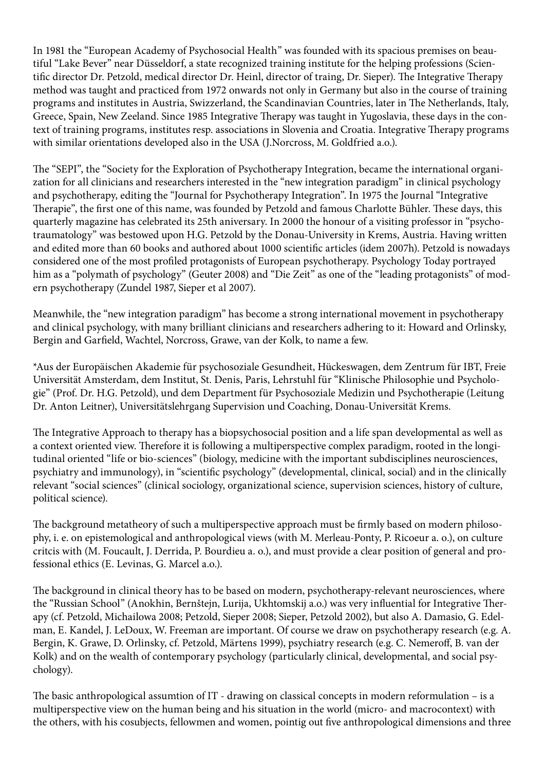In 1981 the "European Academy of Psychosocial Health" was founded with its spacious premises on beautiful "Lake Bever" near Düsseldorf, a state recognized training institute for the helping professions (Scientific director Dr. Petzold, medical director Dr. Heinl, director of traing, Dr. Sieper). The Integrative Therapy method was taught and practiced from 1972 onwards not only in Germany but also in the course of training programs and institutes in Austria, Swizzerland, the Scandinavian Countries, later in The Netherlands, Italy, Greece, Spain, New Zeeland. Since 1985 Integrative Therapy was taught in Yugoslavia, these days in the context of training programs, institutes resp. associations in Slovenia and Croatia. Integrative Therapy programs with similar orientations developed also in the USA (J.Norcross, M. Goldfried a.o.).

The "SEPI", the "Society for the Exploration of Psychotherapy Integration, became the international organization for all clinicians and researchers interested in the "new integration paradigm" in clinical psychology and psychotherapy, editing the "Journal for Psychotherapy Integration". In 1975 the Journal "Integrative Therapie", the first one of this name, was founded by Petzold and famous Charlotte Bühler. These days, this quarterly magazine has celebrated its 25th aniversary. In 2000 the honour of a visiting professor in "psychotraumatology" was bestowed upon H.G. Petzold by the Donau-University in Krems, Austria. Having written and edited more than 60 books and authored about 1000 scientific articles (idem 2007h). Petzold is nowadays considered one of the most profiled protagonists of European psychotherapy. Psychology Today portrayed him as a "polymath of psychology" (Geuter 2008) and "Die Zeit" as one of the "leading protagonists" of modern psychotherapy (Zundel 1987, Sieper et al 2007).

Meanwhile, the "new integration paradigm" has become a strong international movement in psychotherapy and clinical psychology, with many brilliant clinicians and researchers adhering to it: Howard and Orlinsky, Bergin and Garfield, Wachtel, Norcross, Grawe, van der Kolk, to name a few.

\*Aus der Europäischen Akademie für psychosoziale Gesundheit, Hückeswagen, dem Zentrum für IBT, Freie Universität Amsterdam, dem Institut, St. Denis, Paris, Lehrstuhl für "Klinische Philosophie und Psychologie" (Prof. Dr. H.G. Petzold), und dem Department für Psychosoziale Medizin und Psychotherapie (Leitung Dr. Anton Leitner), Universitätslehrgang Supervision und Coaching, Donau-Universität Krems.

The Integrative Approach to therapy has a biopsychosocial position and a life span developmental as well as a context oriented view. Therefore it is following a multiperspective complex paradigm, rooted in the longitudinal oriented "life or bio-sciences" (biology, medicine with the important subdisciplines neurosciences, psychiatry and immunology), in "scientific psychology" (developmental, clinical, social) and in the clinically relevant "social sciences" (clinical sociology, organizational science, supervision sciences, history of culture, political science).

The background metatheory of such a multiperspective approach must be firmly based on modern philosophy, i. e. on epistemological and anthropological views (with M. Merleau-Ponty, P. Ricoeur a. o.), on culture critcis with (M. Foucault, J. Derrida, P. Bourdieu a. o.), and must provide a clear position of general and professional ethics (E. Levinas, G. Marcel a.o.).

The background in clinical theory has to be based on modern, psychotherapy-relevant neurosciences, where the "Russian School" (Anokhin, Bernštejn, Lurija, Ukhtomskij a.o.) was very influential for Integrative Therapy (cf. Petzold, Michailowa 2008; Petzold, Sieper 2008; Sieper, Petzold 2002), but also A. Damasio, G. Edelman, E. Kandel, J. LeDoux, W. Freeman are important. Of course we draw on psychotherapy research (e.g. A. Bergin, K. Grawe, D. Orlinsky, cf. Petzold, Märtens 1999), psychiatry research (e.g. C. Nemeroff, B. van der Kolk) and on the wealth of contemporary psychology (particularly clinical, developmental, and social psychology).

The basic anthropological assumtion of IT - drawing on classical concepts in modern reformulation – is a multiperspective view on the human being and his situation in the world (micro- and macrocontext) with the others, with his cosubjects, fellowmen and women, pointig out five anthropological dimensions and three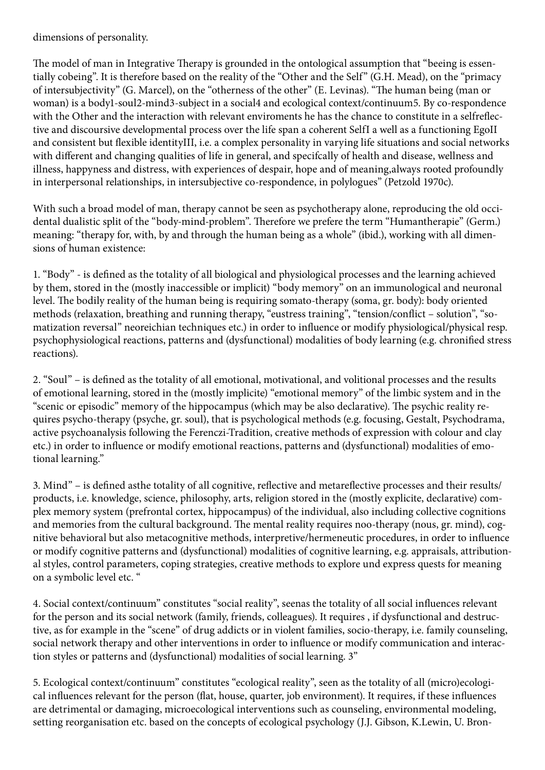dimensions of personality.

The model of man in Integrative Therapy is grounded in the ontological assumption that "beeing is essentially cobeing". It is therefore based on the reality of the "Other and the Self" (G.H. Mead), on the "primacy of intersubjectivity" (G. Marcel), on the "otherness of the other" (E. Levinas). "The human being (man or woman) is a body1-soul2-mind3-subject in a social4 and ecological context/continuum5. By co-respondence with the Other and the interaction with relevant enviroments he has the chance to constitute in a selfreflective and discoursive developmental process over the life span a coherent SelfI a well as a functioning EgoII and consistent but flexible identityIII, i.e. a complex personality in varying life situations and social networks with different and changing qualities of life in general, and specifcally of health and disease, wellness and illness, happyness and distress, with experiences of despair, hope and of meaning,always rooted profoundly in interpersonal relationships, in intersubjective co-respondence, in polylogues" (Petzold 1970c).

With such a broad model of man, therapy cannot be seen as psychotherapy alone, reproducing the old occidental dualistic split of the "body-mind-problem". Therefore we prefere the term "Humantherapie" (Germ.) meaning: "therapy for, with, by and through the human being as a whole" (ibid.), working with all dimensions of human existence:

1. "Body" - is defined as the totality of all biological and physiological processes and the learning achieved by them, stored in the (mostly inaccessible or implicit) "body memory" on an immunological and neuronal level. The bodily reality of the human being is requiring somato-therapy (soma, gr. body): body oriented methods (relaxation, breathing and running therapy, "eustress training", "tension/conflict – solution", "somatization reversal" neoreichian techniques etc.) in order to influence or modify physiological/physical resp. psychophysiological reactions, patterns and (dysfunctional) modalities of body learning (e.g. chronified stress reactions).

2. "Soul" – is defined as the totality of all emotional, motivational, and volitional processes and the results of emotional learning, stored in the (mostly implicite) "emotional memory" of the limbic system and in the "scenic or episodic" memory of the hippocampus (which may be also declarative). The psychic reality requires psycho-therapy (psyche, gr. soul), that is psychological methods (e.g. focusing, Gestalt, Psychodrama, active psychoanalysis following the Ferenczi-Tradition, creative methods of expression with colour and clay etc.) in order to influence or modify emotional reactions, patterns and (dysfunctional) modalities of emotional learning."

3. Mind" – is defined asthe totality of all cognitive, reflective and metareflective processes and their results/ products, i.e. knowledge, science, philosophy, arts, religion stored in the (mostly explicite, declarative) complex memory system (prefrontal cortex, hippocampus) of the individual, also including collective cognitions and memories from the cultural background. The mental reality requires noo-therapy (nous, gr. mind), cognitive behavioral but also metacognitive methods, interpretive/hermeneutic procedures, in order to influence or modify cognitive patterns and (dysfunctional) modalities of cognitive learning, e.g. appraisals, attributional styles, control parameters, coping strategies, creative methods to explore und express quests for meaning on a symbolic level etc. "

4. Social context/continuum" constitutes "social reality", seenas the totality of all social influences relevant for the person and its social network (family, friends, colleagues). It requires , if dysfunctional and destructive, as for example in the "scene" of drug addicts or in violent families, socio-therapy, i.e. family counseling, social network therapy and other interventions in order to influence or modify communication and interaction styles or patterns and (dysfunctional) modalities of social learning. 3"

5. Ecological context/continuum" constitutes "ecological reality", seen as the totality of all (micro)ecological influences relevant for the person (flat, house, quarter, job environment). It requires, if these influences are detrimental or damaging, microecological interventions such as counseling, environmental modeling, setting reorganisation etc. based on the concepts of ecological psychology (J.J. Gibson, K.Lewin, U. Bron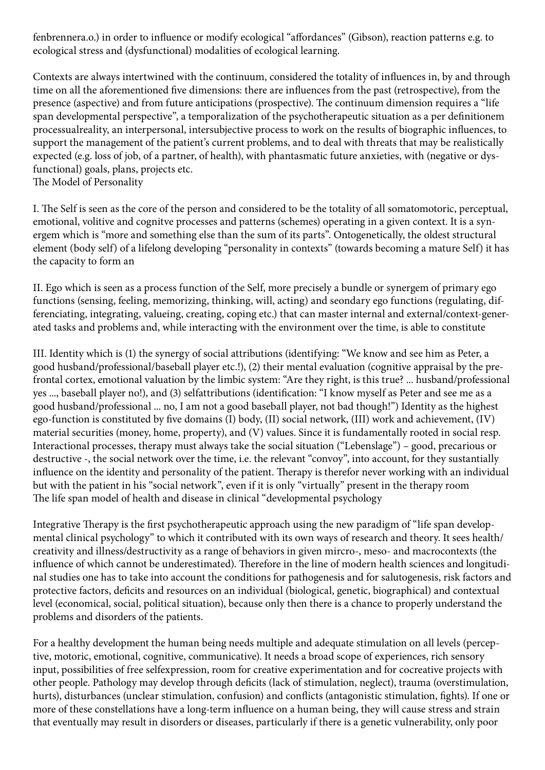fenbrennera.o.) in order to influence or modify ecological "affordances" (Gibson), reaction patterns e.g. to ecological stress and (dysfunctional) modalities of ecological learning.

Contexts are always intertwined with the continuum, considered the totality of influences in, by and through time on all the aforementioned five dimensions: there are influences from the past (retrospective), from the presence (aspective) and from future anticipations (prospective). The continuum dimension requires a "life span developmental perspective", a temporalization of the psychotherapeutic situation as a per definitionem processualreality, an interpersonal, intersubjective process to work on the results of biographic influences, to support the management of the patient's current problems, and to deal with threats that may be realistically expected (e.g. loss of job, of a partner, of health), with phantasmatic future anxieties, with (negative or dysfunctional) goals, plans, projects etc.

The Model of Personality

I. The Self is seen as the core of the person and considered to be the totality of all somatomotoric, perceptual, emotional, volitive and cognitve processes and patterns (schemes) operating in a given context. It is a synergem which is "more and something else than the sum of its parts". Ontogenetically, the oldest structural element (body self) of a lifelong developing "personality in contexts" (towards becoming a mature Self) it has the capacity to form an

II. Ego which is seen as a process function of the Self, more precisely a bundle or synergem of primary ego functions (sensing, feeling, memorizing, thinking, will, acting) and seondary ego functions (regulating, differenciating, integrating, valueing, creating, coping etc.) that can master internal and external/context-generated tasks and problems and, while interacting with the environment over the time, is able to constitute

III. Identity which is (1) the synergy of social attributions (identifying: "We know and see him as Peter, a good husband/professional/baseball player etc.!), (2) their mental evaluation (cognitive appraisal by the prefrontal cortex, emotional valuation by the limbic system: "Are they right, is this true? ... husband/professional yes ..., baseball player no!), and (3) selfattributions (identification: "I know myself as Peter and see me as a good husband/professional ... no, I am not a good baseball player, not bad though!") Identity as the highest ego-function is constituted by five domains (I) body, (II) social network, (III) work and achievement, (IV) material securities (money, home, property), and (V) values. Since it is fundamentally rooted in social resp. Interactional processes, therapy must always take the social situation ("Lebenslage") – good, precarious or destructive -, the social network over the time, i.e. the relevant "convoy", into account, for they sustantially influence on the identity and personality of the patient. Therapy is therefor never working with an individual but with the patient in his "social network", even if it is only "virtually" present in the therapy room The life span model of health and disease in clinical "developmental psychology

Integrative Therapy is the first psychotherapeutic approach using the new paradigm of "life span developmental clinical psychology" to which it contributed with its own ways of research and theory. It sees health/ creativity and illness/destructivity as a range of behaviors in given mircro-, meso- and macrocontexts (the influence of which cannot be underestimated). Therefore in the line of modern health sciences and longitudinal studies one has to take into account the conditions for pathogenesis and for salutogenesis, risk factors and protective factors, deficits and resources on an individual (biological, genetic, biographical) and contextual level (economical, social, political situation), because only then there is a chance to properly understand the problems and disorders of the patients.

For a healthy development the human being needs multiple and adequate stimulation on all levels (perceptive, motoric, emotional, cognitive, communicative). It needs a broad scope of experiences, rich sensory input, possibilities of free selfexpression, room for creative experimentation and for cocreative projects with other people. Pathology may develop through deficits (lack of stimulation, neglect), trauma (overstimulation, hurts), disturbances (unclear stimulation, confusion) and conflicts (antagonistic stimulation, fights). If one or more of these constellations have a long-term influence on a human being, they will cause stress and strain that eventually may result in disorders or diseases, particularly if there is a genetic vulnerability, only poor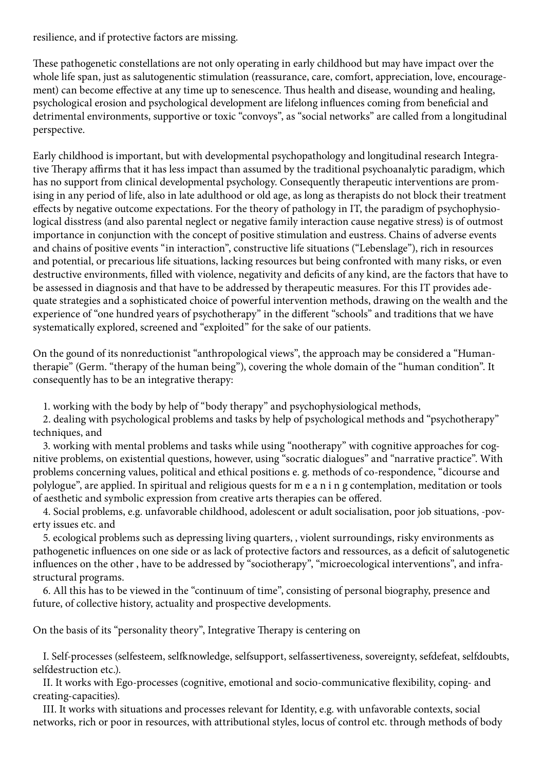resilience, and if protective factors are missing.

These pathogenetic constellations are not only operating in early childhood but may have impact over the whole life span, just as salutogenentic stimulation (reassurance, care, comfort, appreciation, love, encouragement) can become effective at any time up to senescence. Thus health and disease, wounding and healing, psychological erosion and psychological development are lifelong influences coming from beneficial and detrimental environments, supportive or toxic "convoys", as "social networks" are called from a longitudinal perspective.

Early childhood is important, but with developmental psychopathology and longitudinal research Integrative Therapy affirms that it has less impact than assumed by the traditional psychoanalytic paradigm, which has no support from clinical developmental psychology. Consequently therapeutic interventions are promising in any period of life, also in late adulthood or old age, as long as therapists do not block their treatment effects by negative outcome expectations. For the theory of pathology in IT, the paradigm of psychophysiological disstress (and also parental neglect or negative family interaction cause negative stress) is of outmost importance in conjunction with the concept of positive stimulation and eustress. Chains of adverse events and chains of positive events "in interaction", constructive life situations ("Lebenslage"), rich in resources and potential, or precarious life situations, lacking resources but being confronted with many risks, or even destructive environments, filled with violence, negativity and deficits of any kind, are the factors that have to be assessed in diagnosis and that have to be addressed by therapeutic measures. For this IT provides adequate strategies and a sophisticated choice of powerful intervention methods, drawing on the wealth and the experience of "one hundred years of psychotherapy" in the different "schools" and traditions that we have systematically explored, screened and "exploited" for the sake of our patients.

On the gound of its nonreductionist "anthropological views", the approach may be considered a "Humantherapie" (Germ. "therapy of the human being"), covering the whole domain of the "human condition". It consequently has to be an integrative therapy:

1. working with the body by help of "body therapy" and psychophysiological methods,

 2. dealing with psychological problems and tasks by help of psychological methods and "psychotherapy" techniques, and

 3. working with mental problems and tasks while using "nootherapy" with cognitive approaches for cognitive problems, on existential questions, however, using "socratic dialogues" and "narrative practice". With problems concerning values, political and ethical positions e. g. methods of co-respondence, "dicourse and polylogue", are applied. In spiritual and religious quests for m e a n i n g contemplation, meditation or tools of aesthetic and symbolic expression from creative arts therapies can be offered.

 4. Social problems, e.g. unfavorable childhood, adolescent or adult socialisation, poor job situations, -poverty issues etc. and

 5. ecological problems such as depressing living quarters, , violent surroundings, risky environments as pathogenetic influences on one side or as lack of protective factors and ressources, as a deficit of salutogenetic influences on the other , have to be addressed by "sociotherapy", "microecological interventions", and infrastructural programs.

 6. All this has to be viewed in the "continuum of time", consisting of personal biography, presence and future, of collective history, actuality and prospective developments.

On the basis of its "personality theory", Integrative Therapy is centering on

 I. Self-processes (selfesteem, selfknowledge, selfsupport, selfassertiveness, sovereignty, sefdefeat, selfdoubts, selfdestruction etc.).

 II. It works with Ego-processes (cognitive, emotional and socio-communicative flexibility, coping- and creating-capacities).

 III. It works with situations and processes relevant for Identity, e.g. with unfavorable contexts, social networks, rich or poor in resources, with attributional styles, locus of control etc. through methods of body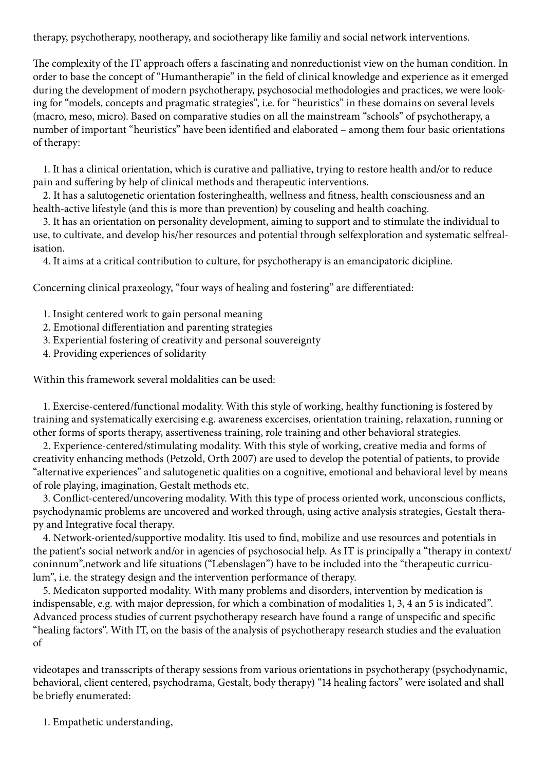therapy, psychotherapy, nootherapy, and sociotherapy like familiy and social network interventions.

The complexity of the IT approach offers a fascinating and nonreductionist view on the human condition. In order to base the concept of "Humantherapie" in the field of clinical knowledge and experience as it emerged during the development of modern psychotherapy, psychosocial methodologies and practices, we were looking for "models, concepts and pragmatic strategies", i.e. for "heuristics" in these domains on several levels (macro, meso, micro). Based on comparative studies on all the mainstream "schools" of psychotherapy, a number of important "heuristics" have been identified and elaborated – among them four basic orientations of therapy:

 1. It has a clinical orientation, which is curative and palliative, trying to restore health and/or to reduce pain and suffering by help of clinical methods and therapeutic interventions.

 2. It has a salutogenetic orientation fosteringhealth, wellness and fitness, health consciousness and an health-active lifestyle (and this is more than prevention) by couseling and health coaching.

 3. It has an orientation on personality development, aiming to support and to stimulate the individual to use, to cultivate, and develop his/her resources and potential through selfexploration and systematic selfrealisation.

4. It aims at a critical contribution to culture, for psychotherapy is an emancipatoric dicipline.

Concerning clinical praxeology, "four ways of healing and fostering" are differentiated:

- 1. Insight centered work to gain personal meaning
- 2. Emotional differentiation and parenting strategies
- 3. Experiential fostering of creativity and personal souvereignty
- 4. Providing experiences of solidarity

Within this framework several moldalities can be used:

 1. Exercise-centered/functional modality. With this style of working, healthy functioning is fostered by training and systematically exercising e.g. awareness excercises, orientation training, relaxation, running or other forms of sports therapy, assertiveness training, role training and other behavioral strategies.

 2. Experience-centered/stimulating modality. With this style of working, creative media and forms of creativity enhancing methods (Petzold, Orth 2007) are used to develop the potential of patients, to provide "alternative experiences" and salutogenetic qualities on a cognitive, emotional and behavioral level by means of role playing, imagination, Gestalt methods etc.

 3. Conflict-centered/uncovering modality. With this type of process oriented work, unconscious conflicts, psychodynamic problems are uncovered and worked through, using active analysis strategies, Gestalt therapy and Integrative focal therapy.

 4. Network-oriented/supportive modality. Itis used to find, mobilize and use resources and potentials in the patient's social network and/or in agencies of psychosocial help. As IT is principally a "therapy in context/ coninnum",network and life situations ("Lebenslagen") have to be included into the "therapeutic curriculum", i.e. the strategy design and the intervention performance of therapy.

 5. Medicaton supported modality. With many problems and disorders, intervention by medication is indispensable, e.g. with major depression, for which a combination of modalities 1, 3, 4 an 5 is indicated". Advanced process studies of current psychotherapy research have found a range of unspecific and specific "healing factors". With IT, on the basis of the analysis of psychotherapy research studies and the evaluation of

videotapes and transscripts of therapy sessions from various orientations in psychotherapy (psychodynamic, behavioral, client centered, psychodrama, Gestalt, body therapy) "14 healing factors" were isolated and shall be briefly enumerated:

1. Empathetic understanding,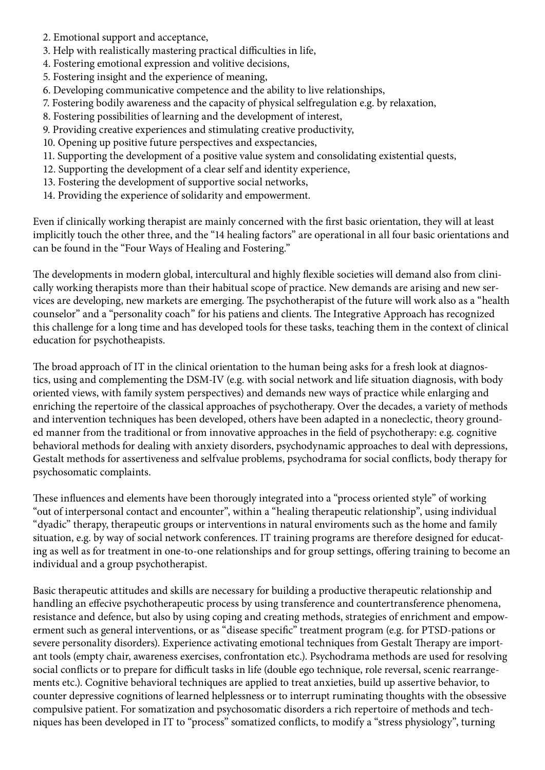- 2. Emotional support and acceptance,
- 3. Help with realistically mastering practical difficulties in life,
- 4. Fostering emotional expression and volitive decisions,
- 5. Fostering insight and the experience of meaning,
- 6. Developing communicative competence and the ability to live relationships,
- 7. Fostering bodily awareness and the capacity of physical selfregulation e.g. by relaxation,
- 8. Fostering possibilities of learning and the development of interest,
- 9. Providing creative experiences and stimulating creative productivity,
- 10. Opening up positive future perspectives and exspectancies,
- 11. Supporting the development of a positive value system and consolidating existential quests,
- 12. Supporting the development of a clear self and identity experience,
- 13. Fostering the development of supportive social networks,
- 14. Providing the experience of solidarity and empowerment.

Even if clinically working therapist are mainly concerned with the first basic orientation, they will at least implicitly touch the other three, and the "14 healing factors" are operational in all four basic orientations and can be found in the "Four Ways of Healing and Fostering."

The developments in modern global, intercultural and highly flexible societies will demand also from clinically working therapists more than their habitual scope of practice. New demands are arising and new services are developing, new markets are emerging. The psychotherapist of the future will work also as a "health counselor" and a "personality coach" for his patiens and clients. The Integrative Approach has recognized this challenge for a long time and has developed tools for these tasks, teaching them in the context of clinical education for psychotheapists.

The broad approach of IT in the clinical orientation to the human being asks for a fresh look at diagnostics, using and complementing the DSM-IV (e.g. with social network and life situation diagnosis, with body oriented views, with family system perspectives) and demands new ways of practice while enlarging and enriching the repertoire of the classical approaches of psychotherapy. Over the decades, a variety of methods and intervention techniques has been developed, others have been adapted in a noneclectic, theory grounded manner from the traditional or from innovative approaches in the field of psychotherapy: e.g. cognitive behavioral methods for dealing with anxiety disorders, psychodynamic approaches to deal with depressions, Gestalt methods for assertiveness and selfvalue problems, psychodrama for social conflicts, body therapy for psychosomatic complaints.

These influences and elements have been thorougly integrated into a "process oriented style" of working "out of interpersonal contact and encounter", within a "healing therapeutic relationship", using individual "dyadic" therapy, therapeutic groups or interventions in natural enviroments such as the home and family situation, e.g. by way of social network conferences. IT training programs are therefore designed for educating as well as for treatment in one-to-one relationships and for group settings, offering training to become an individual and a group psychotherapist.

Basic therapeutic attitudes and skills are necessary for building a productive therapeutic relationship and handling an effecive psychotherapeutic process by using transference and countertransference phenomena, resistance and defence, but also by using coping and creating methods, strategies of enrichment and empowerment such as general interventions, or as "disease specific" treatment program (e.g. for PTSD-pations or severe personality disorders). Experience activating emotional techniques from Gestalt Therapy are important tools (empty chair, awareness exercises, confrontation etc.). Psychodrama methods are used for resolving social conflicts or to prepare for difficult tasks in life (double ego technique, role reversal, scenic rearrangements etc.). Cognitive behavioral techniques are applied to treat anxieties, build up assertive behavior, to counter depressive cognitions of learned helplessness or to interrupt ruminating thoughts with the obsessive compulsive patient. For somatization and psychosomatic disorders a rich repertoire of methods and techniques has been developed in IT to "process" somatized conflicts, to modify a "stress physiology", turning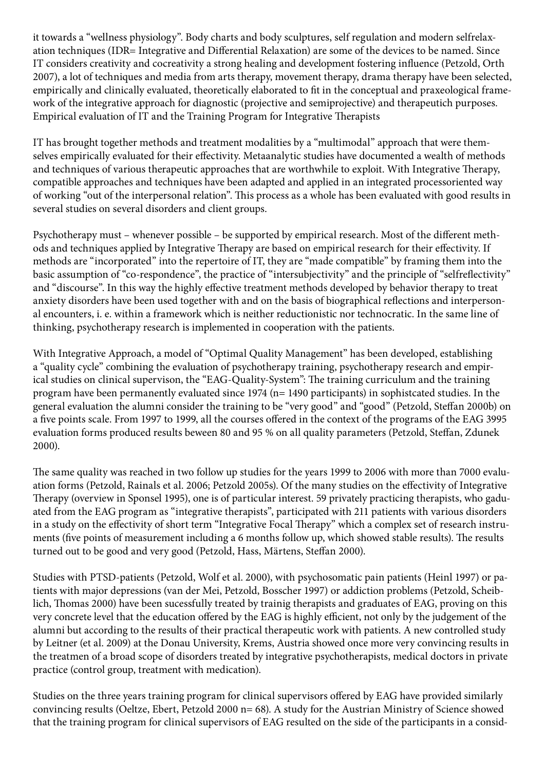it towards a "wellness physiology". Body charts and body sculptures, self regulation and modern selfrelaxation techniques (IDR= Integrative and Differential Relaxation) are some of the devices to be named. Since IT considers creativity and cocreativity a strong healing and development fostering influence (Petzold, Orth 2007), a lot of techniques and media from arts therapy, movement therapy, drama therapy have been selected, empirically and clinically evaluated, theoretically elaborated to fit in the conceptual and praxeological framework of the integrative approach for diagnostic (projective and semiprojective) and therapeutich purposes. Empirical evaluation of IT and the Training Program for Integrative Therapists

IT has brought together methods and treatment modalities by a "multimodal" approach that were themselves empirically evaluated for their effectivity. Metaanalytic studies have documented a wealth of methods and techniques of various therapeutic approaches that are worthwhile to exploit. With Integrative Therapy, compatible approaches and techniques have been adapted and applied in an integrated processoriented way of working "out of the interpersonal relation". This process as a whole has been evaluated with good results in several studies on several disorders and client groups.

Psychotherapy must – whenever possible – be supported by empirical research. Most of the different methods and techniques applied by Integrative Therapy are based on empirical research for their effectivity. If methods are "incorporated" into the repertoire of IT, they are "made compatible" by framing them into the basic assumption of "co-respondence", the practice of "intersubjectivity" and the principle of "selfreflectivity" and "discourse". In this way the highly effective treatment methods developed by behavior therapy to treat anxiety disorders have been used together with and on the basis of biographical reflections and interpersonal encounters, i. e. within a framework which is neither reductionistic nor technocratic. In the same line of thinking, psychotherapy research is implemented in cooperation with the patients.

With Integrative Approach, a model of "Optimal Quality Management" has been developed, establishing a "quality cycle" combining the evaluation of psychotherapy training, psychotherapy research and empirical studies on clinical supervison, the "EAG-Quality-System": The training curriculum and the training program have been permanently evaluated since 1974 (n= 1490 participants) in sophistcated studies. In the general evaluation the alumni consider the training to be "very good" and "good" (Petzold, Steffan 2000b) on a five points scale. From 1997 to 1999, all the courses offered in the context of the programs of the EAG 3995 evaluation forms produced results beween 80 and 95 % on all quality parameters (Petzold, Steffan, Zdunek 2000).

The same quality was reached in two follow up studies for the years 1999 to 2006 with more than 7000 evaluation forms (Petzold, Rainals et al. 2006; Petzold 2005s). Of the many studies on the effectivity of Integrative Therapy (overview in Sponsel 1995), one is of particular interest. 59 privately practicing therapists, who gaduated from the EAG program as "integrative therapists", participated with 211 patients with various disorders in a study on the effectivity of short term "Integrative Focal Therapy" which a complex set of research instruments (five points of measurement including a 6 months follow up, which showed stable results). The results turned out to be good and very good (Petzold, Hass, Märtens, Steffan 2000).

Studies with PTSD-patients (Petzold, Wolf et al. 2000), with psychosomatic pain patients (Heinl 1997) or patients with major depressions (van der Mei, Petzold, Bosscher 1997) or addiction problems (Petzold, Scheiblich, Thomas 2000) have been sucessfully treated by trainig therapists and graduates of EAG, proving on this very concrete level that the education offered by the EAG is highly efficient, not only by the judgement of the alumni but according to the results of their practical therapeutic work with patients. A new controlled study by Leitner (et al. 2009) at the Donau University, Krems, Austria showed once more very convincing results in the treatmen of a broad scope of disorders treated by integrative psychotherapists, medical doctors in private practice (control group, treatment with medication).

Studies on the three years training program for clinical supervisors offered by EAG have provided similarly convincing results (Oeltze, Ebert, Petzold 2000 n= 68). A study for the Austrian Ministry of Science showed that the training program for clinical supervisors of EAG resulted on the side of the participants in a consid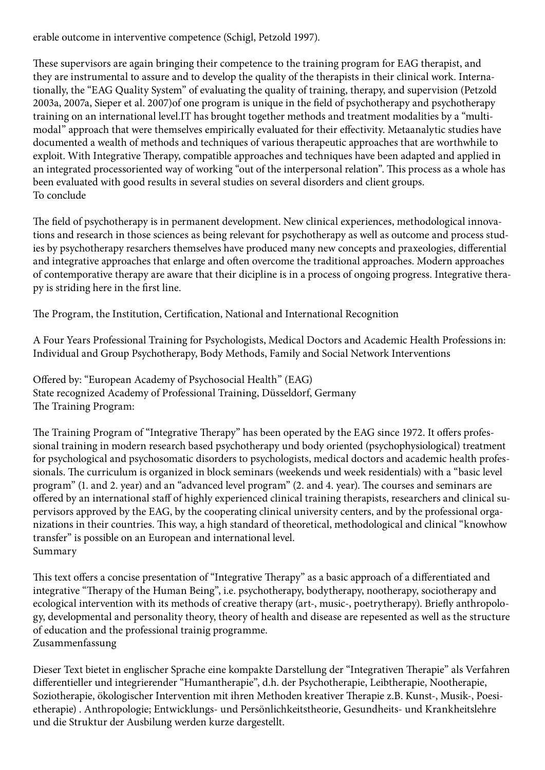erable outcome in interventive competence (Schigl, Petzold 1997).

These supervisors are again bringing their competence to the training program for EAG therapist, and they are instrumental to assure and to develop the quality of the therapists in their clinical work. Internationally, the "EAG Quality System" of evaluating the quality of training, therapy, and supervision (Petzold 2003a, 2007a, Sieper et al. 2007)of one program is unique in the field of psychotherapy and psychotherapy training on an international level.IT has brought together methods and treatment modalities by a "multimodal" approach that were themselves empirically evaluated for their effectivity. Metaanalytic studies have documented a wealth of methods and techniques of various therapeutic approaches that are worthwhile to exploit. With Integrative Therapy, compatible approaches and techniques have been adapted and applied in an integrated processoriented way of working "out of the interpersonal relation". This process as a whole has been evaluated with good results in several studies on several disorders and client groups. To conclude

The field of psychotherapy is in permanent development. New clinical experiences, methodological innovations and research in those sciences as being relevant for psychotherapy as well as outcome and process studies by psychotherapy resarchers themselves have produced many new concepts and praxeologies, differential and integrative approaches that enlarge and often overcome the traditional approaches. Modern approaches of contemporative therapy are aware that their dicipline is in a process of ongoing progress. Integrative therapy is striding here in the first line.

The Program, the Institution, Certification, National and International Recognition

A Four Years Professional Training for Psychologists, Medical Doctors and Academic Health Professions in: Individual and Group Psychotherapy, Body Methods, Family and Social Network Interventions

Offered by: "European Academy of Psychosocial Health" (EAG) State recognized Academy of Professional Training, Düsseldorf, Germany The Training Program:

The Training Program of "Integrative Therapy" has been operated by the EAG since 1972. It offers professional training in modern research based psychotherapy und body oriented (psychophysiological) treatment for psychological and psychosomatic disorders to psychologists, medical doctors and academic health professionals. The curriculum is organized in block seminars (weekends und week residentials) with a "basic level program" (1. and 2. year) and an "advanced level program" (2. and 4. year). The courses and seminars are offered by an international staff of highly experienced clinical training therapists, researchers and clinical supervisors approved by the EAG, by the cooperating clinical university centers, and by the professional organizations in their countries. This way, a high standard of theoretical, methodological and clinical "knowhow transfer" is possible on an European and international level. Summary

This text offers a concise presentation of "Integrative Therapy" as a basic approach of a differentiated and integrative "Therapy of the Human Being", i.e. psychotherapy, bodytherapy, nootherapy, sociotherapy and ecological intervention with its methods of creative therapy (art-, music-, poetrytherapy). Briefly anthropology, developmental and personality theory, theory of health and disease are repesented as well as the structure of education and the professional trainig programme. Zusammenfassung

Dieser Text bietet in englischer Sprache eine kompakte Darstellung der "Integrativen Therapie" als Verfahren differentieller und integrierender "Humantherapie", d.h. der Psychotherapie, Leibtherapie, Nootherapie, Soziotherapie, ökologischer Intervention mit ihren Methoden kreativer Therapie z.B. Kunst-, Musik-, Poesietherapie) . Anthropologie; Entwicklungs- und Persönlichkeitstheorie, Gesundheits- und Krankheitslehre und die Struktur der Ausbilung werden kurze dargestellt.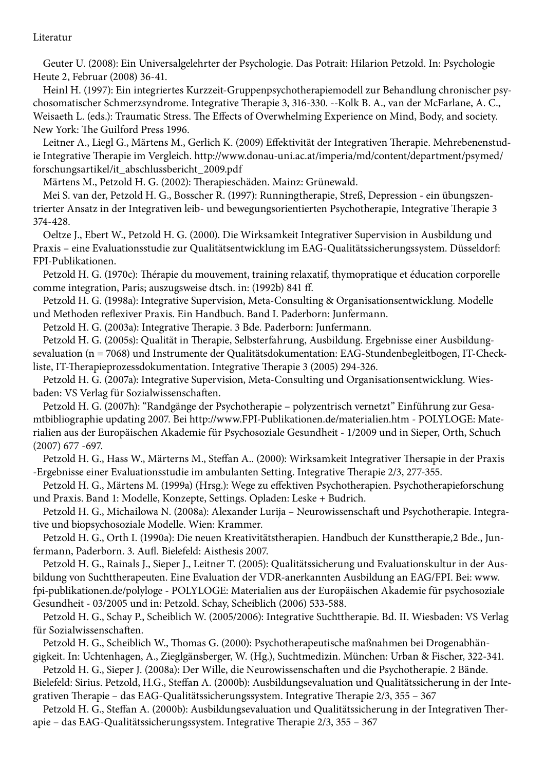Literatur

 Geuter U. (2008): Ein Universalgelehrter der Psychologie. Das Potrait: Hilarion Petzold. In: Psychologie Heute 2, Februar (2008) 36-41.

 Heinl H. (1997): Ein integriertes Kurzzeit-Gruppenpsychotherapiemodell zur Behandlung chronischer psychosomatischer Schmerzsyndrome. Integrative Therapie 3, 316-330. --Kolk B. A., van der McFarlane, A. C., Weisaeth L. (eds.): Traumatic Stress. The Effects of Overwhelming Experience on Mind, Body, and society. New York: The Guilford Press 1996.

 Leitner A., Liegl G., Märtens M., Gerlich K. (2009) Effektivität der Integrativen Therapie. Mehrebenenstudie Integrative Therapie im Vergleich. http://www.donau-uni.ac.at/imperia/md/content/department/psymed/ forschungsartikel/it\_abschlussbericht\_2009.pdf

Märtens M., Petzold H. G. (2002): Therapieschäden. Mainz: Grünewald.

 Mei S. van der, Petzold H. G., Bosscher R. (1997): Runningtherapie, Streß, Depression - ein übungszentrierter Ansatz in der Integrativen leib- und bewegungsorientierten Psychotherapie, Integrative Therapie 3 374-428.

 Oeltze J., Ebert W., Petzold H. G. (2000). Die Wirksamkeit Integrativer Supervision in Ausbildung und Praxis – eine Evaluationsstudie zur Qualitätsentwicklung im EAG-Qualitätssicherungssystem. Düsseldorf: FPI-Publikationen.

 Petzold H. G. (1970c): Thérapie du mouvement, training relaxatif, thymopratique et éducation corporelle comme integration, Paris; auszugsweise dtsch. in: (1992b) 841 ff.

 Petzold H. G. (1998a): Integrative Supervision, Meta-Consulting & Organisationsentwicklung. Modelle und Methoden reflexiver Praxis. Ein Handbuch. Band I. Paderborn: Junfermann.

Petzold H. G. (2003a): Integrative Therapie. 3 Bde. Paderborn: Junfermann.

 Petzold H. G. (2005s): Qualität in Therapie, Selbsterfahrung, Ausbildung. Ergebnisse einer Ausbildungsevaluation (n = 7068) und Instrumente der Qualitätsdokumentation: EAG-Stundenbegleitbogen, IT-Checkliste, IT-Therapieprozessdokumentation. Integrative Therapie 3 (2005) 294-326.

 Petzold H. G. (2007a): Integrative Supervision, Meta-Consulting und Organisationsentwicklung. Wiesbaden: VS Verlag für Sozialwissenschaften.

 Petzold H. G. (2007h): "Randgänge der Psychotherapie – polyzentrisch vernetzt" Einführung zur Gesamtbibliographie updating 2007. Bei http://www.FPI-Publikationen.de/materialien.htm - POLYLOGE: Materialien aus der Europäischen Akademie für Psychosoziale Gesundheit - 1/2009 und in Sieper, Orth, Schuch (2007) 677 -697.

 Petzold H. G., Hass W., Märterns M., Steffan A.. (2000): Wirksamkeit Integrativer Thersapie in der Praxis -Ergebnisse einer Evaluationsstudie im ambulanten Setting. Integrative Therapie 2/3, 277-355.

 Petzold H. G., Märtens M. (1999a) (Hrsg.): Wege zu effektiven Psychotherapien. Psychotherapieforschung und Praxis. Band 1: Modelle, Konzepte, Settings. Opladen: Leske + Budrich.

 Petzold H. G., Michailowa N. (2008a): Alexander Lurija – Neurowissenschaft und Psychotherapie. Integrative und biopsychosoziale Modelle. Wien: Krammer.

 Petzold H. G., Orth I. (1990a): Die neuen Kreativitätstherapien. Handbuch der Kunsttherapie,2 Bde., Junfermann, Paderborn. 3. Aufl. Bielefeld: Aisthesis 2007.

 Petzold H. G., Rainals J., Sieper J., Leitner T. (2005): Qualitätssicherung und Evaluationskultur in der Ausbildung von Suchttherapeuten. Eine Evaluation der VDR-anerkannten Ausbildung an EAG/FPI. Bei: www. fpi-publikationen.de/polyloge - POLYLOGE: Materialien aus der Europäischen Akademie für psychosoziale Gesundheit - 03/2005 und in: Petzold. Schay, Scheiblich (2006) 533-588.

 Petzold H. G., Schay P., Scheiblich W. (2005/2006): Integrative Suchttherapie. Bd. II. Wiesbaden: VS Verlag für Sozialwissenschaften.

 Petzold H. G., Scheiblich W., Thomas G. (2000): Psychotherapeutische maßnahmen bei Drogenabhängigkeit. In: Uchtenhagen, A., Zieglgänsberger, W. (Hg.), Suchtmedizin. München: Urban & Fischer, 322-341.

 Petzold H. G., Sieper J. (2008a): Der Wille, die Neurowissenschaften und die Psychotherapie. 2 Bände. Bielefeld: Sirius. Petzold, H.G., Steffan A. (2000b): Ausbildungsevaluation und Qualitätssicherung in der Integrativen Therapie – das EAG-Qualitätssicherungssystem. Integrative Therapie 2/3, 355 – 367

 Petzold H. G., Steffan A. (2000b): Ausbildungsevaluation und Qualitätssicherung in der Integrativen Therapie – das EAG-Qualitätssicherungssystem. Integrative Therapie 2/3, 355 – 367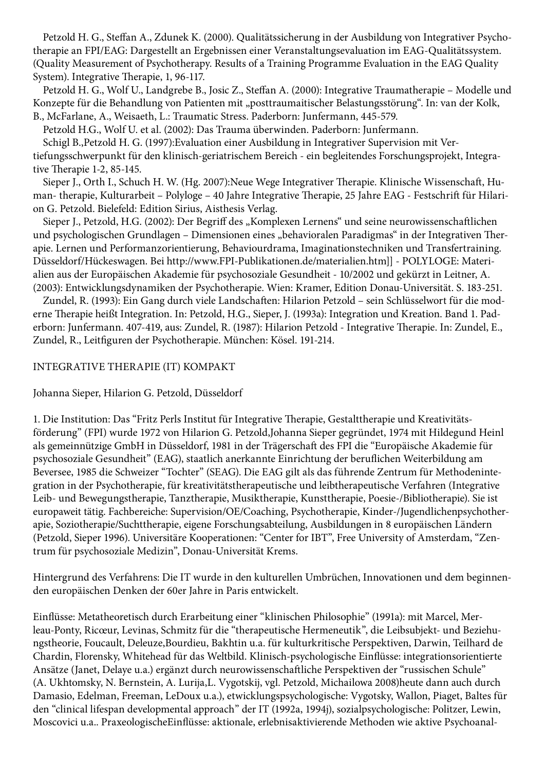Petzold H. G., Steffan A., Zdunek K. (2000). Qualitätssicherung in der Ausbildung von Integrativer Psychotherapie an FPI/EAG: Dargestellt an Ergebnissen einer Veranstaltungsevaluation im EAG-Qualitätssystem. (Quality Measurement of Psychotherapy. Results of a Training Programme Evaluation in the EAG Quality System). Integrative Therapie, 1, 96-117.

 Petzold H. G., Wolf U., Landgrebe B., Josic Z., Steffan A. (2000): Integrative Traumatherapie – Modelle und Konzepte für die Behandlung von Patienten mit "posttraumaitischer Belastungsstörung". In: van der Kolk, B., McFarlane, A., Weisaeth, L.: Traumatic Stress. Paderborn: Junfermann, 445-579.

Petzold H.G., Wolf U. et al. (2002): Das Trauma überwinden. Paderborn: Junfermann.

 Schigl B.,Petzold H. G. (1997):Evaluation einer Ausbildung in Integrativer Supervision mit Vertiefungsschwerpunkt für den klinisch-geriatrischem Bereich - ein begleitendes Forschungsprojekt, Integrative Therapie 1-2, 85-145.

 Sieper J., Orth I., Schuch H. W. (Hg. 2007):Neue Wege Integrativer Therapie. Klinische Wissenschaft, Human- therapie, Kulturarbeit – Polyloge – 40 Jahre Integrative Therapie, 25 Jahre EAG - Festschrift für Hilarion G. Petzold. Bielefeld: Edition Sirius, Aisthesis Verlag.

Sieper J., Petzold, H.G. (2002): Der Begriff des "Komplexen Lernens" und seine neurowissenschaftlichen und psychologischen Grundlagen – Dimensionen eines "behavioralen Paradigmas" in der Integrativen Therapie. Lernen und Performanzorientierung, Behaviourdrama, Imaginationstechniken und Transfertraining. Düsseldorf/Hückeswagen. Bei http://www.FPI-Publikationen.de/materialien.htm]] - POLYLOGE: Materialien aus der Europäischen Akademie für psychosoziale Gesundheit - 10/2002 und gekürzt in Leitner, A. (2003): Entwicklungsdynamiken der Psychotherapie. Wien: Kramer, Edition Donau-Universität. S. 183-251.

 Zundel, R. (1993): Ein Gang durch viele Landschaften: Hilarion Petzold – sein Schlüsselwort für die moderne Therapie heißt Integration. In: Petzold, H.G., Sieper, J. (1993a): Integration und Kreation. Band 1. Paderborn: Junfermann. 407-419, aus: Zundel, R. (1987): Hilarion Petzold - Integrative Therapie. In: Zundel, E., Zundel, R., Leitfiguren der Psychotherapie. München: Kösel. 191-214.

## INTEGRATIVE THERAPIE (IT) KOMPAKT

Johanna Sieper, Hilarion G. Petzold, Düsseldorf

1. Die Institution: Das "Fritz Perls Institut für Integrative Therapie, Gestalttherapie und Kreativitätsförderung" (FPI) wurde 1972 von Hilarion G. Petzold,Johanna Sieper gegründet, 1974 mit Hildegund Heinl als gemeinnützige GmbH in Düsseldorf, 1981 in der Trägerschaft des FPI die "Europäische Akademie für psychosoziale Gesundheit" (EAG), staatlich anerkannte Einrichtung der beruflichen Weiterbildung am Beversee, 1985 die Schweizer "Tochter" (SEAG). Die EAG gilt als das führende Zentrum für Methodenintegration in der Psychotherapie, für kreativitätstherapeutische und leibtherapeutische Verfahren (Integrative Leib- und Bewegungstherapie, Tanztherapie, Musiktherapie, Kunsttherapie, Poesie-/Bibliotherapie). Sie ist europaweit tätig. Fachbereiche: Supervision/OE/Coaching, Psychotherapie, Kinder-/Jugendlichenpsychotherapie, Soziotherapie/Suchttherapie, eigene Forschungsabteilung, Ausbildungen in 8 europäischen Ländern (Petzold, Sieper 1996). Universitäre Kooperationen: "Center for IBT", Free University of Amsterdam, "Zentrum für psychosoziale Medizin", Donau-Universität Krems.

Hintergrund des Verfahrens: Die IT wurde in den kulturellen Umbrüchen, Innovationen und dem beginnenden europäischen Denken der 60er Jahre in Paris entwickelt.

Einflüsse: Metatheoretisch durch Erarbeitung einer "klinischen Philosophie" (1991a): mit Marcel, Merleau-Ponty, Ricœur, Levinas, Schmitz für die "therapeutische Hermeneutik", die Leibsubjekt- und Beziehungstheorie, Foucault, Deleuze,Bourdieu, Bakhtin u.a. für kulturkritische Perspektiven, Darwin, Teilhard de Chardin, Florensky, Whitehead für das Weltbild. Klinisch-psychologische Einflüsse: integrationsorientierte Ansätze (Janet, Delaye u.a.) ergänzt durch neurowissenschaftliche Perspektiven der "russischen Schule" (A. Ukhtomsky, N. Bernstein, A. Lurija,L. Vygotskij, vgl. Petzold, Michailowa 2008)heute dann auch durch Damasio, Edelman, Freeman, LeDoux u.a.), etwicklungspsychologische: Vygotsky, Wallon, Piaget, Baltes für den "clinical lifespan developmental approach" der IT (1992a, 1994j), sozialpsychologische: Politzer, Lewin, Moscovici u.a.. PraxeologischeEinflüsse: aktionale, erlebnisaktivierende Methoden wie aktive Psychoanal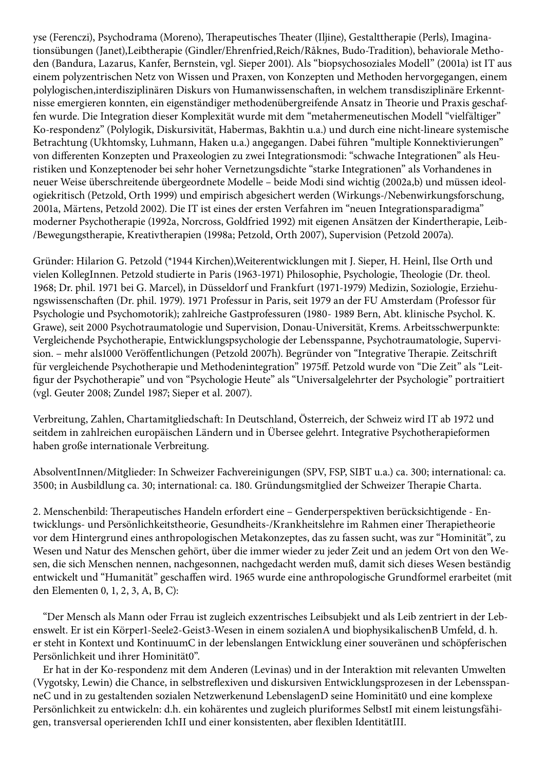yse (Ferenczi), Psychodrama (Moreno), Therapeutisches Theater (Iljine), Gestalttherapie (Perls), Imaginationsübungen (Janet),Leibtherapie (Gindler/Ehrenfried,Reich/Råknes, Budo-Tradition), behaviorale Methoden (Bandura, Lazarus, Kanfer, Bernstein, vgl. Sieper 2001). Als "biopsychosoziales Modell" (2001a) ist IT aus einem polyzentrischen Netz von Wissen und Praxen, von Konzepten und Methoden hervorgegangen, einem polylogischen,interdisziplinären Diskurs von Humanwissenschaften, in welchem transdisziplinäre Erkenntnisse emergieren konnten, ein eigenständiger methodenübergreifende Ansatz in Theorie und Praxis geschaffen wurde. Die Integration dieser Komplexität wurde mit dem "metahermeneutischen Modell "vielfältiger" Ko-respondenz" (Polylogik, Diskursivität, Habermas, Bakhtin u.a.) und durch eine nicht-lineare systemische Betrachtung (Ukhtomsky, Luhmann, Haken u.a.) angegangen. Dabei führen "multiple Konnektivierungen" von differenten Konzepten und Praxeologien zu zwei Integrationsmodi: "schwache Integrationen" als Heuristiken und Konzeptenoder bei sehr hoher Vernetzungsdichte "starke Integrationen" als Vorhandenes in neuer Weise überschreitende übergeordnete Modelle – beide Modi sind wichtig (2002a,b) und müssen ideologiekritisch (Petzold, Orth 1999) und empirisch abgesichert werden (Wirkungs-/Nebenwirkungsforschung, 2001a, Märtens, Petzold 2002). Die IT ist eines der ersten Verfahren im "neuen Integrationsparadigma" moderner Psychotherapie (1992a, Norcross, Goldfried 1992) mit eigenen Ansätzen der Kindertherapie, Leib- /Bewegungstherapie, Kreativtherapien (1998a; Petzold, Orth 2007), Supervision (Petzold 2007a).

Gründer: Hilarion G. Petzold (\*1944 Kirchen),Weiterentwicklungen mit J. Sieper, H. Heinl, Ilse Orth und vielen KollegInnen. Petzold studierte in Paris (1963-1971) Philosophie, Psychologie, Theologie (Dr. theol. 1968; Dr. phil. 1971 bei G. Marcel), in Düsseldorf und Frankfurt (1971-1979) Medizin, Soziologie, Erziehungswissenschaften (Dr. phil. 1979). 1971 Professur in Paris, seit 1979 an der FU Amsterdam (Professor für Psychologie und Psychomotorik); zahlreiche Gastprofessuren (1980- 1989 Bern, Abt. klinische Psychol. K. Grawe), seit 2000 Psychotraumatologie und Supervision, Donau-Universität, Krems. Arbeitsschwerpunkte: Vergleichende Psychotherapie, Entwicklungspsychologie der Lebensspanne, Psychotraumatologie, Supervision. – mehr als1000 Veröffentlichungen (Petzold 2007h). Begründer von "Integrative Therapie. Zeitschrift für vergleichende Psychotherapie und Methodenintegration" 1975ff. Petzold wurde von "Die Zeit" als "Leitfigur der Psychotherapie" und von "Psychologie Heute" als "Universalgelehrter der Psychologie" portraitiert (vgl. Geuter 2008; Zundel 1987; Sieper et al. 2007).

Verbreitung, Zahlen, Chartamitgliedschaft: In Deutschland, Österreich, der Schweiz wird IT ab 1972 und seitdem in zahlreichen europäischen Ländern und in Übersee gelehrt. Integrative Psychotherapieformen haben große internationale Verbreitung.

AbsolventInnen/Mitglieder: In Schweizer Fachvereinigungen (SPV, FSP, SIBT u.a.) ca. 300; international: ca. 3500; in Ausbildlung ca. 30; international: ca. 180. Gründungsmitglied der Schweizer Therapie Charta.

2. Menschenbild: Therapeutisches Handeln erfordert eine – Genderperspektiven berücksichtigende - Entwicklungs- und Persönlichkeitstheorie, Gesundheits-/Krankheitslehre im Rahmen einer Therapietheorie vor dem Hintergrund eines anthropologischen Metakonzeptes, das zu fassen sucht, was zur "Hominität", zu Wesen und Natur des Menschen gehört, über die immer wieder zu jeder Zeit und an jedem Ort von den Wesen, die sich Menschen nennen, nachgesonnen, nachgedacht werden muß, damit sich dieses Wesen beständig entwickelt und "Humanität" geschaffen wird. 1965 wurde eine anthropologische Grundformel erarbeitet (mit den Elementen 0, 1, 2, 3, A, B, C):

 "Der Mensch als Mann oder Frrau ist zugleich exzentrisches Leibsubjekt und als Leib zentriert in der Lebenswelt. Er ist ein Körper1-Seele2-Geist3-Wesen in einem sozialenA und biophysikalischenB Umfeld, d. h. er steht in Kontext und KontinuumC in der lebenslangen Entwicklung einer souveränen und schöpferischen Persönlichkeit und ihrer Hominität0".

 Er hat in der Ko-respondenz mit dem Anderen (Levinas) und in der Interaktion mit relevanten Umwelten (Vygotsky, Lewin) die Chance, in selbstreflexiven und diskursiven Entwicklungsprozesen in der LebensspanneC und in zu gestaltenden sozialen Netzwerkenund LebenslagenD seine Hominität0 und eine komplexe Persönlichkeit zu entwickeln: d.h. ein kohärentes und zugleich pluriformes SelbstI mit einem leistungsfähigen, transversal operierenden IchII und einer konsistenten, aber flexiblen IdentitätIII.